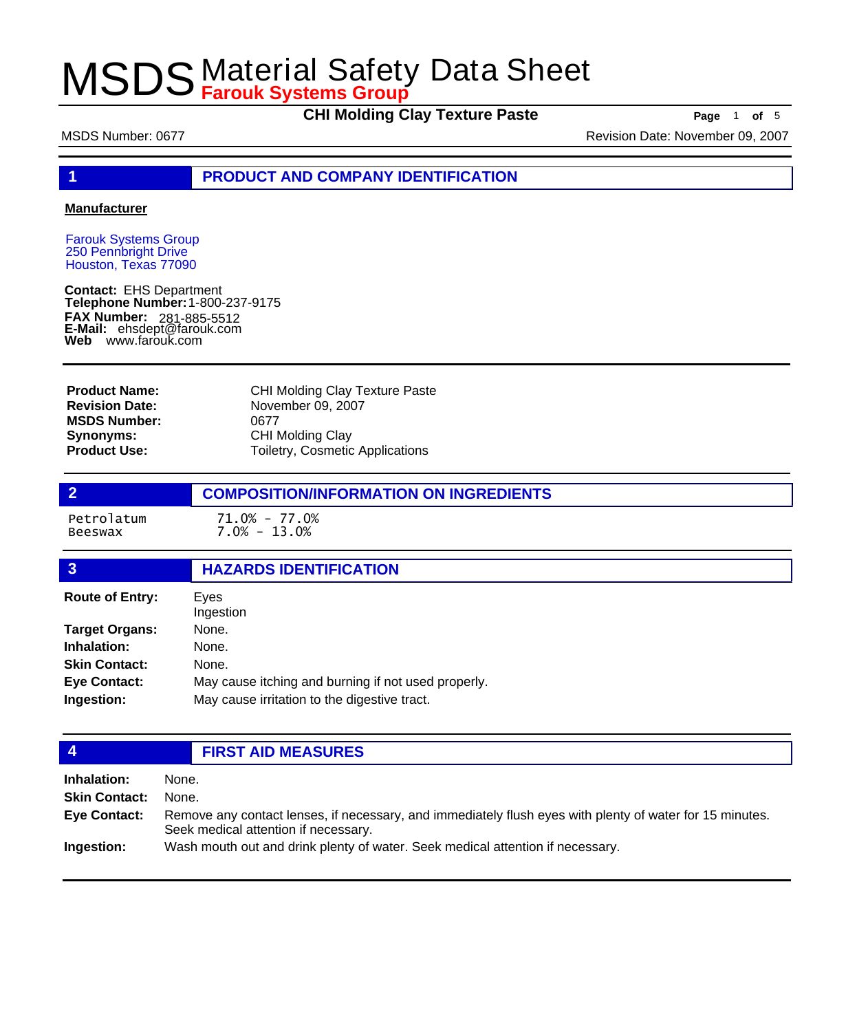**CHI Molding Clay Texture Paste** Paste Page 1 of 5

MSDS Number: 0677 **MSDS Number: 0677** Revision Date: November 09, 2007

**1 PRODUCT AND COMPANY IDENTIFICATION**

### **Manufacturer**

Farouk Systems Group 250 Pennbright Drive Houston, Texas 77090

**Contact:** EHS Department **Telephone Number:** 1-800-237-9175 **FAX Number: FAX Number:** 281-885-5512<br>**E-Mail:** ehsdept@farouk.com **Web** www.farouk.com

| <b>Product Name:</b>  | <b>CHI Molding Clay Texture Paste</b> |
|-----------------------|---------------------------------------|
| <b>Revision Date:</b> | November 09, 2007                     |
| <b>MSDS Number:</b>   | 0677                                  |
| Synonyms:             | <b>CHI Molding Clay</b>               |
| <b>Product Use:</b>   | Toiletry, Cosmetic Applications       |

## **2 COMPOSITION/INFORMATION ON INGREDIENTS**

Petrolatum 71.0% - 77.0%  $7.0\% - 13.0\%$ 

## **3 HAZARDS IDENTIFICATION**

| Eyes<br>Ingestion                                   |  |
|-----------------------------------------------------|--|
| None.                                               |  |
| None.                                               |  |
| None.                                               |  |
| May cause itching and burning if not used properly. |  |
| May cause irritation to the digestive tract.        |  |
|                                                     |  |

## **4 FIRST AID MEASURES**

| Inhalation:         | None.                                                                                                                                            |
|---------------------|--------------------------------------------------------------------------------------------------------------------------------------------------|
| Skin Contact:       | None.                                                                                                                                            |
| <b>Eye Contact:</b> | Remove any contact lenses, if necessary, and immediately flush eyes with plenty of water for 15 minutes.<br>Seek medical attention if necessary. |
| Ingestion:          | Wash mouth out and drink plenty of water. Seek medical attention if necessary.                                                                   |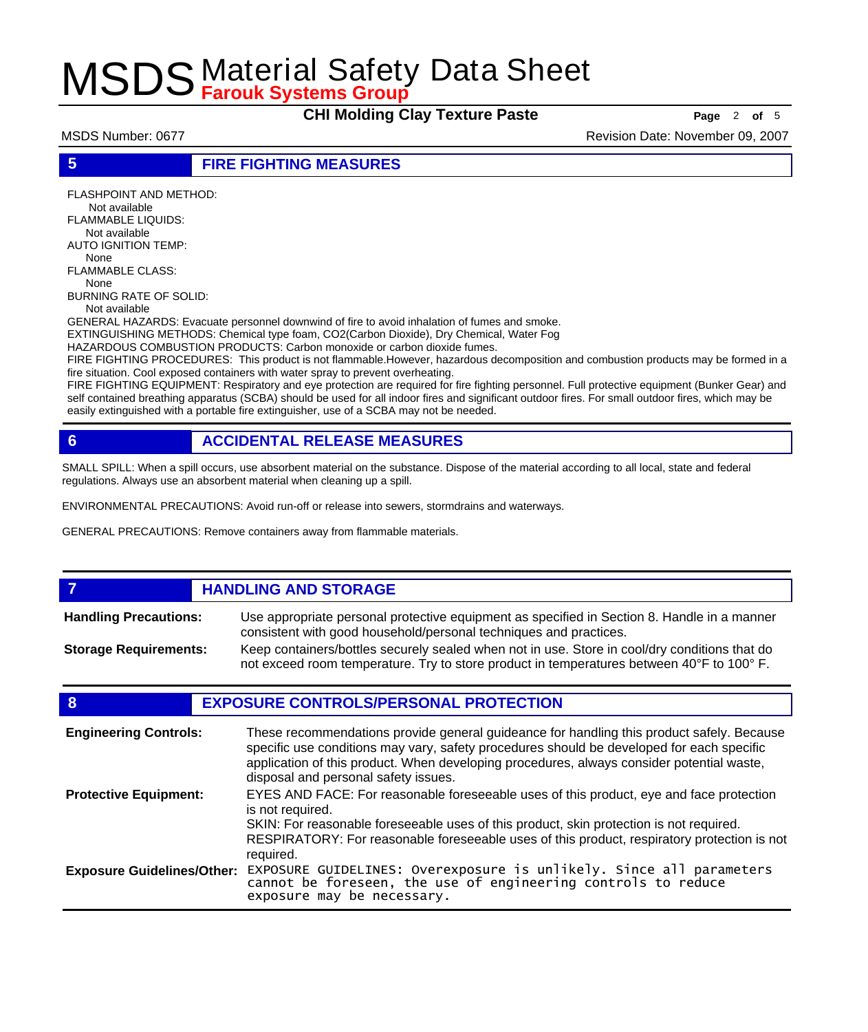**CHI Molding Clay Texture Paste Page** <sup>2</sup> **of** <sup>5</sup>

MSDS Number: 0677 **MSDS Number: 0677** Revision Date: November 09, 2007

**5 FIRE FIGHTING MEASURES**

FLASHPOINT AND METHOD: Not available FLAMMABLE LIQUIDS: Not available AUTO IGNITION TEMP: None FLAMMABLE CLASS: None BURNING RATE OF SOLID: Not available

GENERAL HAZARDS: Evacuate personnel downwind of fire to avoid inhalation of fumes and smoke.

EXTINGUISHING METHODS: Chemical type foam, CO2(Carbon Dioxide), Dry Chemical, Water Fog

HAZARDOUS COMBUSTION PRODUCTS: Carbon monoxide or carbon dioxide fumes.

FIRE FIGHTING PROCEDURES: This product is not flammable.However, hazardous decomposition and combustion products may be formed in a fire situation. Cool exposed containers with water spray to prevent overheating.

FIRE FIGHTING EQUIPMENT: Respiratory and eye protection are required for fire fighting personnel. Full protective equipment (Bunker Gear) and self contained breathing apparatus (SCBA) should be used for all indoor fires and significant outdoor fires. For small outdoor fires, which may be easily extinguished with a portable fire extinguisher, use of a SCBA may not be needed.

## **6 ACCIDENTAL RELEASE MEASURES**

SMALL SPILL: When a spill occurs, use absorbent material on the substance. Dispose of the material according to all local, state and federal regulations. Always use an absorbent material when cleaning up a spill.

ENVIRONMENTAL PRECAUTIONS: Avoid run-off or release into sewers, stormdrains and waterways.

GENERAL PRECAUTIONS: Remove containers away from flammable materials.

### *HANDLING AND STORAGE* Use appropriate personal protective equipment as specified in Section 8. Handle in a manner consistent with good household/personal techniques and practices. **Handling Precautions:** Keep containers/bottles securely sealed when not in use. Store in cool/dry conditions that do not exceed room temperature. Try to store product in temperatures between 40°F to 100° F. **Storage Requirements:**

## **8 EXPOSURE CONTROLS/PERSONAL PROTECTION**

| <b>Engineering Controls:</b>      | These recommendations provide general guideance for handling this product safely. Because<br>specific use conditions may vary, safety procedures should be developed for each specific<br>application of this product. When developing procedures, always consider potential waste,<br>disposal and personal safety issues. |
|-----------------------------------|-----------------------------------------------------------------------------------------------------------------------------------------------------------------------------------------------------------------------------------------------------------------------------------------------------------------------------|
| <b>Protective Equipment:</b>      | EYES AND FACE: For reasonable foreseeable uses of this product, eye and face protection<br>is not required.<br>SKIN: For reasonable foreseeable uses of this product, skin protection is not required.<br>RESPIRATORY: For reasonable foreseeable uses of this product, respiratory protection is not<br>required.          |
| <b>Exposure Guidelines/Other:</b> | EXPOSURE GUIDELINES: Overexposure is unlikely. Since all parameters cannot be foreseen, the use of engineering controls to reduce<br>exposure may be necessary.                                                                                                                                                             |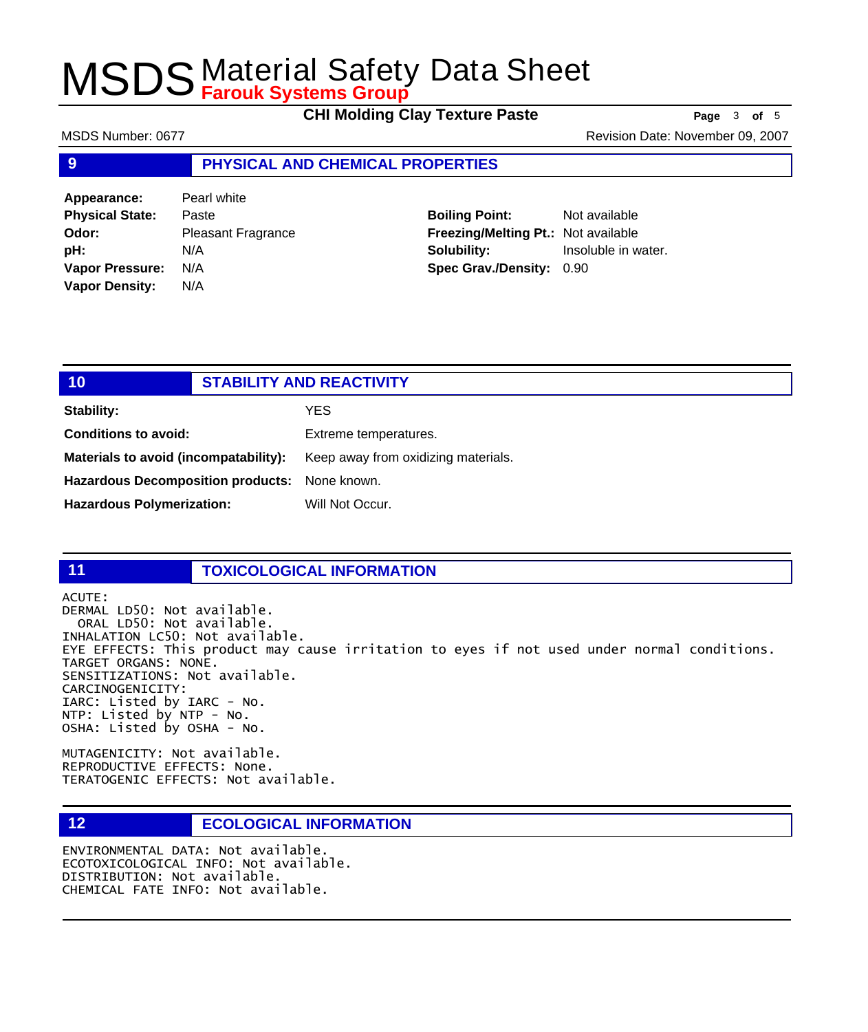**CHI Molding Clay Texture Paste Page** <sup>3</sup> **of** <sup>5</sup>

MSDS Number: 0677 **MSDS Number: 0677** Revision Date: November 09, 2007

## **9 PHYSICAL AND CHEMICAL PROPERTIES**

| Appearance:            | Pearl white               |
|------------------------|---------------------------|
| <b>Physical State:</b> | Paste                     |
| Odor:                  | <b>Pleasant Fragrance</b> |
| pH:                    | N/A                       |
| <b>Vapor Pressure:</b> | N/A                       |
| <b>Vapor Density:</b>  | N/A                       |

## **Boiling Point:** Not available **Freezing/Melting Pt.:** Not available **Solubility:** Insoluble in water. **Spec Grav./Density:** 0.90

## **10 STABILITY AND REACTIVITY Stability:** YES **Conditions to avoid:** Extreme temperatures. **Materials to avoid (incompatability):** Keep away from oxidizing materials.

**Hazardous Decomposition products:** None known.

Hazardous Polymerization: Will Not Occur.

## **11 TOXICOLOGICAL INFORMATION**

ACUTE:

DERMAL LD50: Not available. ORAL LD50: Not available. INHALATION LC50: Not available. EYE EFFECTS: This product may cause irritation to eyes if not used under normal conditions. TARGET ORGANS: NONE. SENSITIZATIONS: Not available. CARCINOGENICITY: IARC: Listed by IARC - No. NTP: Listed by NTP - No. OSHA: Listed by OSHA - No.

MUTAGENICITY: Not available. REPRODUCTIVE EFFECTS: None. TERATOGENIC EFFECTS: Not available.

## **12 ECOLOGICAL INFORMATION**

ENVIRONMENTAL DATA: Not available. ECOTOXICOLOGICAL INFO: Not available. DISTRIBUTION: Not available. CHEMICAL FATE INFO: Not available.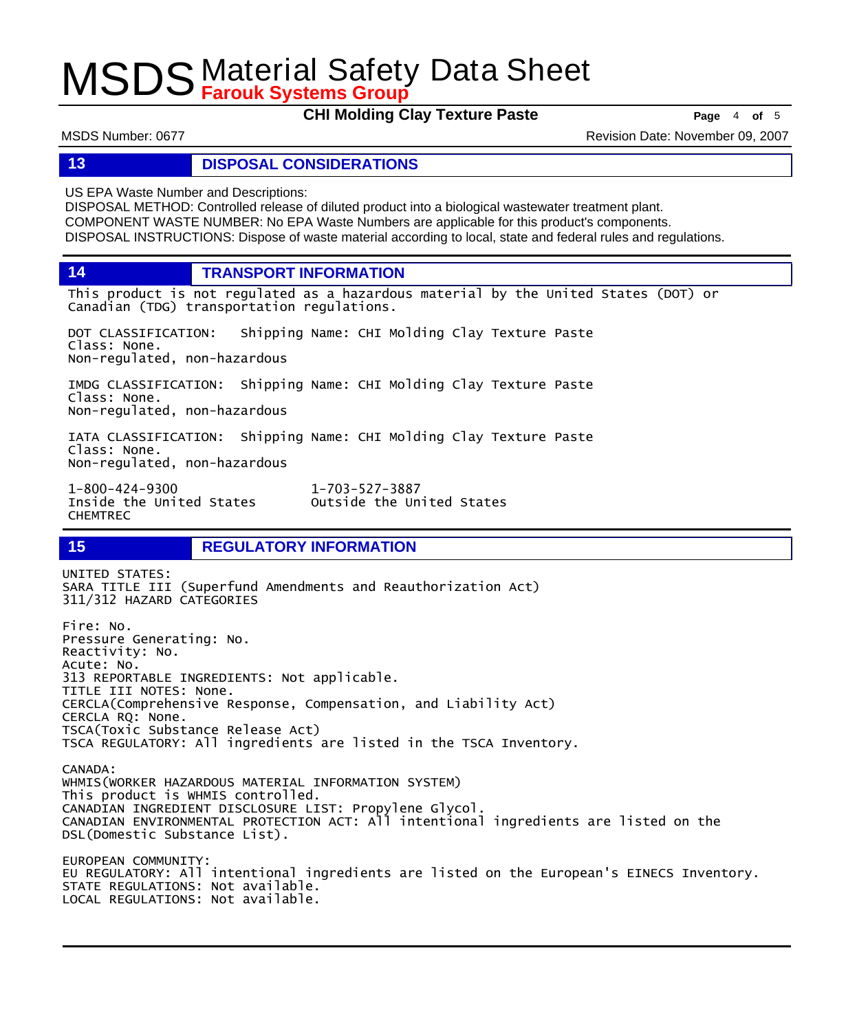**CHI Molding Clay Texture Paste Page** <sup>4</sup> **of** <sup>5</sup>

MSDS Number: 0677 **MSDS Number: 0677** Revision Date: November 09, 2007

## **13 DISPOSAL CONSIDERATIONS**

US EPA Waste Number and Descriptions:

DISPOSAL METHOD: Controlled release of diluted product into a biological wastewater treatment plant. COMPONENT WASTE NUMBER: No EPA Waste Numbers are applicable for this product's components. DISPOSAL INSTRUCTIONS: Dispose of waste material according to local, state and federal rules and regulations.

**14 TRANSPORT INFORMATION**

This product is not regulated as a hazardous material by the United States (DOT) or Canadian (TDG) transportation regulations.

Outside the United States

DOT CLASSIFICATION: Shipping Name: CHI Molding Clay Texture Paste Class: None. Non-regulated, non-hazardous

IMDG CLASSIFICATION: Shipping Name: CHI Molding Clay Texture Paste Class: None. Non-regulated, non-hazardous

IATA CLASSIFICATION: Shipping Name: CHI Molding Clay Texture Paste Class: None. Non-regulated, non-hazardous

1-800-424-9300 1-703-527-3887 CHEMTREC

**15 REGULATORY INFORMATION**

UNITED STATES: SARA TITLE III (Superfund Amendments and Reauthorization Act) 311/312 HAZARD CATEGORIES Fire: No. Pressure Generating: No. Reactivity: No. Acute: No. 313 REPORTABLE INGREDIENTS: Not applicable. TITLE III NOTES: None. CERCLA(Comprehensive Response, Compensation, and Liability Act) CERCLA RQ: None. TSCA(Toxic Substance Release Act) TSCA REGULATORY: All ingredients are listed in the TSCA Inventory. CANADA: WHMIS(WORKER HAZARDOUS MATERIAL INFORMATION SYSTEM) This product is WHMIS controlled. CANADIAN INGREDIENT DISCLOSURE LIST: Propylene Glycol. CANADIAN ENVIRONMENTAL PROTECTION ACT: All intentional ingredients are listed on the DSL(Domestic Substance List). EUROPEAN COMMUNITY: EU REGULATORY: All intentional ingredients are listed on the European's EINECS Inventory. STATE REGULATIONS: Not available. LOCAL REGULATIONS: Not available.